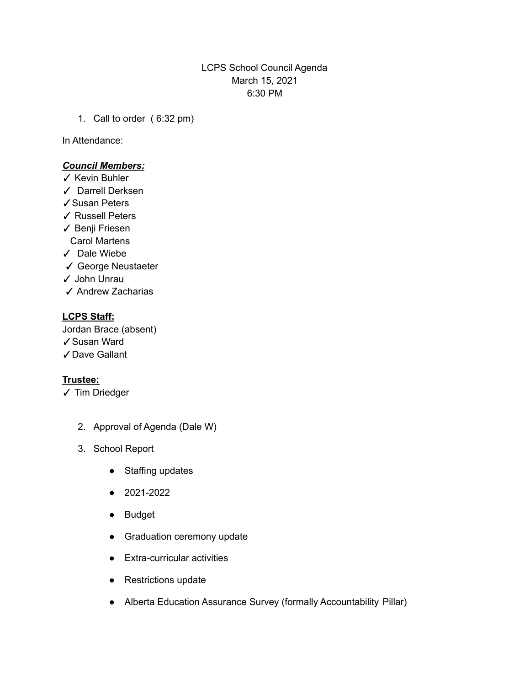# LCPS School Council Agenda March 15, 2021 6:30 PM

1. Call to order ( 6:32 pm)

In Attendance:

### *Council Members:*

- ✓ Kevin Buhler
- ✓ Darrell Derksen
- ✓Susan Peters
- ✓ Russell Peters
- ✓ Benji Friesen Carol Martens
- ✓ Dale Wiebe
- ✓ George Neustaeter
- ✓ John Unrau
- ✓ Andrew Zacharias

# **LCPS Staff:**

Jordan Brace (absent) ✓Susan Ward ✓Dave Gallant

# **Trustee:**

- ✓ Tim Driedger
	- 2. Approval of Agenda (Dale W)
	- 3. School Report
		- Staffing updates
		- 2021-2022
		- Budget
		- Graduation ceremony update
		- Extra-curricular activities
		- Restrictions update
		- Alberta Education Assurance Survey (formally Accountability Pillar)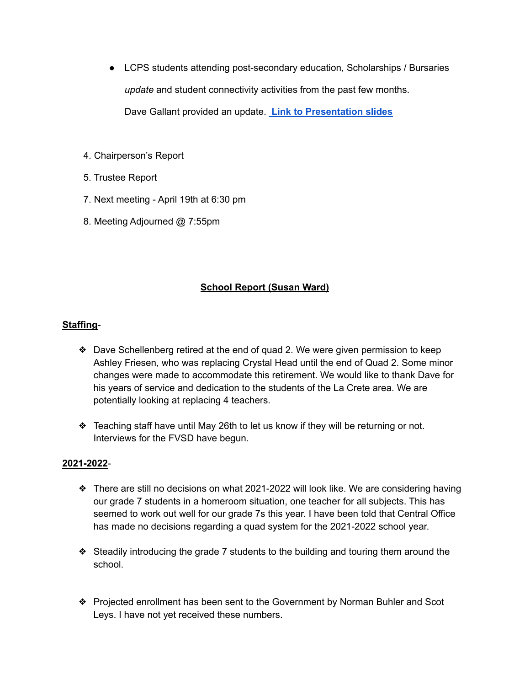- LCPS students attending post-secondary education, Scholarships / Bursaries *update* and student connectivity activities from the past few months. Dave Gallant provided an update. **Link to [Presentation](https://docs.google.com/presentation/d/17hy0I9t1lqndofBCG71eTTmsfmvRKtFPOYTHvzMY-D0/edit?usp=sharing) slides**
- 4. Chairperson's Report
- 5. Trustee Report
- 7. Next meeting April 19th at 6:30 pm
- 8. Meeting Adjourned @ 7:55pm

# **School Report (Susan Ward)**

# **Staffing**-

- ❖ Dave Schellenberg retired at the end of quad 2. We were given permission to keep Ashley Friesen, who was replacing Crystal Head until the end of Quad 2. Some minor changes were made to accommodate this retirement. We would like to thank Dave for his years of service and dedication to the students of the La Crete area. We are potentially looking at replacing 4 teachers.
- ❖ Teaching staff have until May 26th to let us know if they will be returning or not. Interviews for the FVSD have begun.

# **2021-2022**-

- ❖ There are still no decisions on what 2021-2022 will look like. We are considering having our grade 7 students in a homeroom situation, one teacher for all subjects. This has seemed to work out well for our grade 7s this year. I have been told that Central Office has made no decisions regarding a quad system for the 2021-2022 school year.
- ❖ Steadily introducing the grade 7 students to the building and touring them around the school.
- ❖ Projected enrollment has been sent to the Government by Norman Buhler and Scot Leys. I have not yet received these numbers.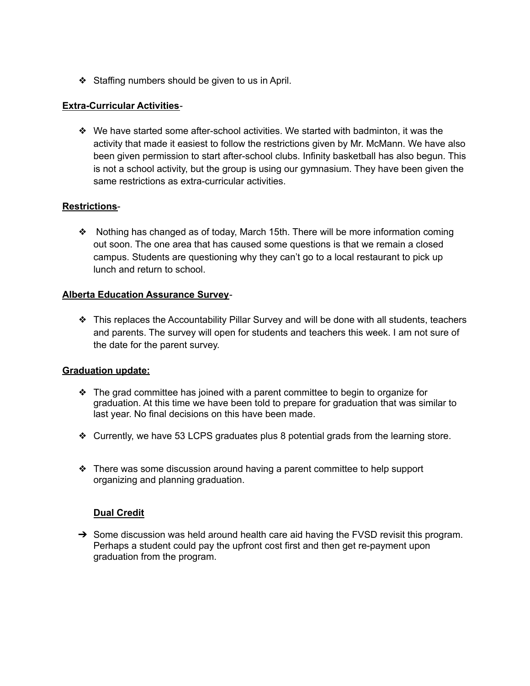❖ Staffing numbers should be given to us in April.

#### **Extra-Curricular Activities**-

❖ We have started some after-school activities. We started with badminton, it was the activity that made it easiest to follow the restrictions given by Mr. McMann. We have also been given permission to start after-school clubs. Infinity basketball has also begun. This is not a school activity, but the group is using our gymnasium. They have been given the same restrictions as extra-curricular activities.

### **Restrictions**-

❖ Nothing has changed as of today, March 15th. There will be more information coming out soon. The one area that has caused some questions is that we remain a closed campus. Students are questioning why they can't go to a local restaurant to pick up lunch and return to school.

### **Alberta Education Assurance Survey**-

❖ This replaces the Accountability Pillar Survey and will be done with all students, teachers and parents. The survey will open for students and teachers this week. I am not sure of the date for the parent survey.

#### **Graduation update:**

- ❖ The grad committee has joined with a parent committee to begin to organize for graduation. At this time we have been told to prepare for graduation that was similar to last year. No final decisions on this have been made.
- ❖ Currently, we have 53 LCPS graduates plus 8 potential grads from the learning store.
- ❖ There was some discussion around having a parent committee to help support organizing and planning graduation.

#### **Dual Credit**

 $\rightarrow$  Some discussion was held around health care aid having the FVSD revisit this program. Perhaps a student could pay the upfront cost first and then get re-payment upon graduation from the program.